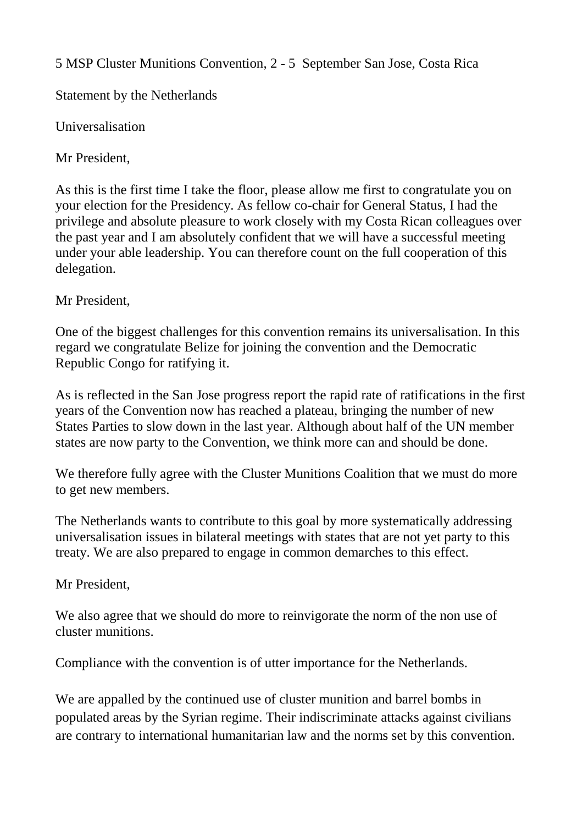5 MSP Cluster Munitions Convention, 2 - 5 September San Jose, Costa Rica

Statement by the Netherlands

Universalisation

Mr President,

As this is the first time I take the floor, please allow me first to congratulate you on your election for the Presidency. As fellow co-chair for General Status, I had the privilege and absolute pleasure to work closely with my Costa Rican colleagues over the past year and I am absolutely confident that we will have a successful meeting under your able leadership. You can therefore count on the full cooperation of this delegation.

Mr President,

One of the biggest challenges for this convention remains its universalisation. In this regard we congratulate Belize for joining the convention and the Democratic Republic Congo for ratifying it.

As is reflected in the San Jose progress report the rapid rate of ratifications in the first years of the Convention now has reached a plateau, bringing the number of new States Parties to slow down in the last year. Although about half of the UN member states are now party to the Convention, we think more can and should be done.

We therefore fully agree with the Cluster Munitions Coalition that we must do more to get new members.

The Netherlands wants to contribute to this goal by more systematically addressing universalisation issues in bilateral meetings with states that are not yet party to this treaty. We are also prepared to engage in common demarches to this effect.

Mr President,

We also agree that we should do more to reinvigorate the norm of the non use of cluster munitions.

Compliance with the convention is of utter importance for the Netherlands.

We are appalled by the continued use of cluster munition and barrel bombs in populated areas by the Syrian regime. Their indiscriminate attacks against civilians are contrary to international humanitarian law and the norms set by this convention.